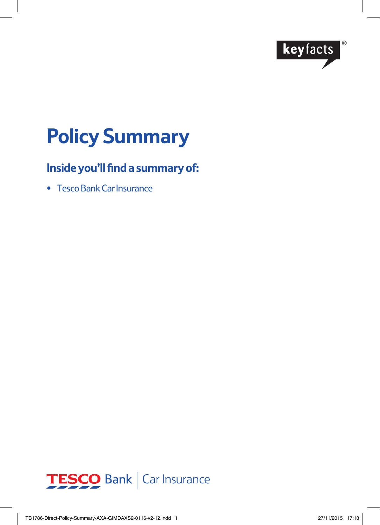

# **Policy Summary**

# **Inside you'll find a summary of:**

• Tesco Bank Car Insurance

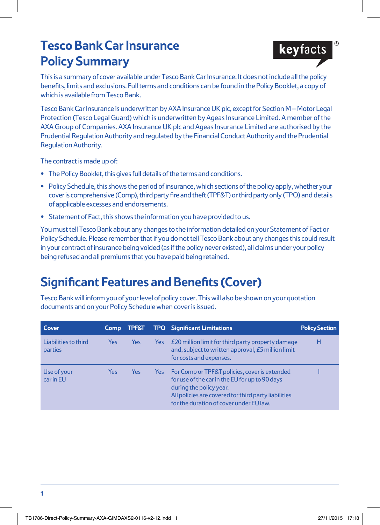# **Tesco Bank Car Insurance Policy Summary**



Tesco Bank Car Insurance is underwritten by AXA Insurance UK plc, except for Section M – Motor Legal Protection (Tesco Legal Guard) which is underwritten by Ageas Insurance Limited. A member of the AXA Group of Companies. AXA Insurance UK plc and Ageas Insurance Limited are authorised by the Prudential Regulation Authority and regulated by the Financial Conduct Authority and the Prudential Regulation Authority.

The contract is made up of:

- **•** The Policy Booklet, this gives full details of the terms and conditions.
- **•** Policy Schedule, this shows the period of insurance, which sections of the policy apply, whether your cover is comprehensive (Comp), third party fire and theft (TPF&T) or third party only (TPO) and details of applicable excesses and endorsements.
- **•** Statement of Fact, this shows the information you have provided to us.

You must tell Tesco Bank about any changes to the information detailed on your Statement of Fact or Policy Schedule. Please remember that if you do not tell Tesco Bank about any changes this could result in your contract of insurance being voided (as if the policy never existed), all claims under your policy being refused and all premiums that you have paid being retained.

# **Significant Features and Benefits (Cover)**

Tesco Bank will inform you of your level of policy cover. This will also be shown on your quotation documents and on your Policy Schedule when cover is issued.

| Cover                           | <b>Comp</b> | TPF&T |     | <b>TPO</b> Significant Limitations                                                                                                                                                                                            | <b>Policy Section</b> |
|---------------------------------|-------------|-------|-----|-------------------------------------------------------------------------------------------------------------------------------------------------------------------------------------------------------------------------------|-----------------------|
| Liabilities to third<br>parties | Yes         | Yes   | Yes | £20 million limit for third party property damage<br>and, subject to written approval, £5 million limit<br>for costs and expenses.                                                                                            | н                     |
| Use of your<br>car in EU        | Yes         | Yes   | Yes | For Comp or TPF&T policies, cover is extended<br>for use of the car in the EU for up to 90 days<br>during the policy year.<br>All policies are covered for third party liabilities<br>for the duration of cover under EU law. |                       |

**keyfacts**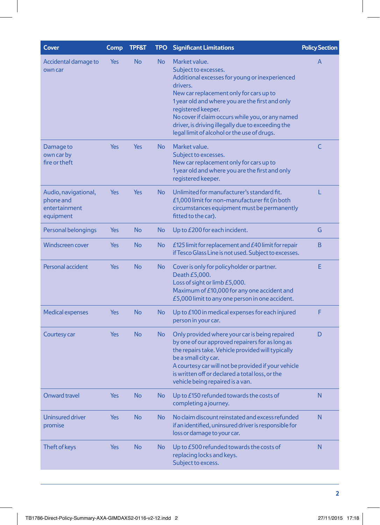| Market value.<br>Accidental damage to<br>Yes<br>No<br><b>No</b><br>A<br>Subject to excesses.<br>own car<br>Additional excesses for young or inexperienced<br>drivers.<br>New car replacement only for cars up to<br>1 year old and where you are the first and only<br>registered keeper.<br>No cover if claim occurs while you, or any named<br>driver, is driving illegally due to exceeding the<br>legal limit of alcohol or the use of drugs.<br>$\overline{C}$<br>Damage to<br><b>Yes</b><br><b>Yes</b><br><b>No</b><br>Market value.<br>own car by<br>Subject to excesses.<br>fire or theft<br>New car replacement only for cars up to<br>1 year old and where you are the first and only<br>registered keeper.<br>L<br><b>Yes</b><br><b>No</b><br>Unlimited for manufacturer's standard fit.<br>Audio, navigational,<br>Yes<br>phone and<br>£1,000 limit for non-manufacturer fit (in both<br>entertainment<br>circumstances equipment must be permanently<br>fitted to the car).<br>equipment<br><b>No</b><br><b>No</b><br>Personal belongings<br>Yes<br>Up to £200 for each incident.<br>G<br><b>No</b><br>B<br><b>Windscreen cover</b><br><b>Yes</b><br><b>No</b><br>£125 limit for replacement and £40 limit for repair<br>if Tesco Glass Line is not used. Subject to excesses.<br>Personal accident<br><b>No</b><br><b>No</b><br>E<br>Yes<br>Cover is only for policyholder or partner.<br>Death £5,000.<br>Loss of sight or limb £5,000.<br>Maximum of £10,000 for any one accident and<br>£5,000 limit to any one person in one accident.<br><b>No</b><br><b>No</b><br>F<br>Yes<br>Up to £100 in medical expenses for each injured<br><b>Medical expenses</b><br>person in your car.<br>D<br><b>Yes</b><br><b>No</b><br><b>No</b><br>Only provided where your car is being repaired<br>Courtesy car<br>by one of our approved repairers for as long as<br>the repairs take. Vehicle provided will typically<br>be a small city car.<br>A courtesy car will not be provided if your vehicle<br>is written off or declared a total loss, or the<br>vehicle being repaired is a van.<br>Onward travel<br>Yes<br><b>No</b><br><b>No</b><br>Up to £150 refunded towards the costs of<br>N<br>completing a journey.<br><b>Uninsured driver</b><br><b>Yes</b><br><b>No</b><br><b>No</b><br>No claim discount reinstated and excess refunded<br>N<br>if an identified, uninsured driver is responsible for<br>promise<br>loss or damage to your car.<br>Yes<br><b>No</b><br>Up to £500 refunded towards the costs of<br>Theft of keys<br><b>No</b><br>N<br>replacing locks and keys.<br>Subject to excess. | <b>Cover</b> | Comp | <b>TPF&amp;T</b> | <b>TPO</b> | <b>Significant Limitations</b> | <b>Policy Section</b> |
|-------------------------------------------------------------------------------------------------------------------------------------------------------------------------------------------------------------------------------------------------------------------------------------------------------------------------------------------------------------------------------------------------------------------------------------------------------------------------------------------------------------------------------------------------------------------------------------------------------------------------------------------------------------------------------------------------------------------------------------------------------------------------------------------------------------------------------------------------------------------------------------------------------------------------------------------------------------------------------------------------------------------------------------------------------------------------------------------------------------------------------------------------------------------------------------------------------------------------------------------------------------------------------------------------------------------------------------------------------------------------------------------------------------------------------------------------------------------------------------------------------------------------------------------------------------------------------------------------------------------------------------------------------------------------------------------------------------------------------------------------------------------------------------------------------------------------------------------------------------------------------------------------------------------------------------------------------------------------------------------------------------------------------------------------------------------------------------------------------------------------------------------------------------------------------------------------------------------------------------------------------------------------------------------------------------------------------------------------------------------------------------------------------------------------------------------------------------------------------------------------------------------------------------------------------------------------------------------------------------------|--------------|------|------------------|------------|--------------------------------|-----------------------|
|                                                                                                                                                                                                                                                                                                                                                                                                                                                                                                                                                                                                                                                                                                                                                                                                                                                                                                                                                                                                                                                                                                                                                                                                                                                                                                                                                                                                                                                                                                                                                                                                                                                                                                                                                                                                                                                                                                                                                                                                                                                                                                                                                                                                                                                                                                                                                                                                                                                                                                                                                                                                                   |              |      |                  |            |                                |                       |
|                                                                                                                                                                                                                                                                                                                                                                                                                                                                                                                                                                                                                                                                                                                                                                                                                                                                                                                                                                                                                                                                                                                                                                                                                                                                                                                                                                                                                                                                                                                                                                                                                                                                                                                                                                                                                                                                                                                                                                                                                                                                                                                                                                                                                                                                                                                                                                                                                                                                                                                                                                                                                   |              |      |                  |            |                                |                       |
|                                                                                                                                                                                                                                                                                                                                                                                                                                                                                                                                                                                                                                                                                                                                                                                                                                                                                                                                                                                                                                                                                                                                                                                                                                                                                                                                                                                                                                                                                                                                                                                                                                                                                                                                                                                                                                                                                                                                                                                                                                                                                                                                                                                                                                                                                                                                                                                                                                                                                                                                                                                                                   |              |      |                  |            |                                |                       |
|                                                                                                                                                                                                                                                                                                                                                                                                                                                                                                                                                                                                                                                                                                                                                                                                                                                                                                                                                                                                                                                                                                                                                                                                                                                                                                                                                                                                                                                                                                                                                                                                                                                                                                                                                                                                                                                                                                                                                                                                                                                                                                                                                                                                                                                                                                                                                                                                                                                                                                                                                                                                                   |              |      |                  |            |                                |                       |
|                                                                                                                                                                                                                                                                                                                                                                                                                                                                                                                                                                                                                                                                                                                                                                                                                                                                                                                                                                                                                                                                                                                                                                                                                                                                                                                                                                                                                                                                                                                                                                                                                                                                                                                                                                                                                                                                                                                                                                                                                                                                                                                                                                                                                                                                                                                                                                                                                                                                                                                                                                                                                   |              |      |                  |            |                                |                       |
|                                                                                                                                                                                                                                                                                                                                                                                                                                                                                                                                                                                                                                                                                                                                                                                                                                                                                                                                                                                                                                                                                                                                                                                                                                                                                                                                                                                                                                                                                                                                                                                                                                                                                                                                                                                                                                                                                                                                                                                                                                                                                                                                                                                                                                                                                                                                                                                                                                                                                                                                                                                                                   |              |      |                  |            |                                |                       |
|                                                                                                                                                                                                                                                                                                                                                                                                                                                                                                                                                                                                                                                                                                                                                                                                                                                                                                                                                                                                                                                                                                                                                                                                                                                                                                                                                                                                                                                                                                                                                                                                                                                                                                                                                                                                                                                                                                                                                                                                                                                                                                                                                                                                                                                                                                                                                                                                                                                                                                                                                                                                                   |              |      |                  |            |                                |                       |
|                                                                                                                                                                                                                                                                                                                                                                                                                                                                                                                                                                                                                                                                                                                                                                                                                                                                                                                                                                                                                                                                                                                                                                                                                                                                                                                                                                                                                                                                                                                                                                                                                                                                                                                                                                                                                                                                                                                                                                                                                                                                                                                                                                                                                                                                                                                                                                                                                                                                                                                                                                                                                   |              |      |                  |            |                                |                       |
|                                                                                                                                                                                                                                                                                                                                                                                                                                                                                                                                                                                                                                                                                                                                                                                                                                                                                                                                                                                                                                                                                                                                                                                                                                                                                                                                                                                                                                                                                                                                                                                                                                                                                                                                                                                                                                                                                                                                                                                                                                                                                                                                                                                                                                                                                                                                                                                                                                                                                                                                                                                                                   |              |      |                  |            |                                |                       |
|                                                                                                                                                                                                                                                                                                                                                                                                                                                                                                                                                                                                                                                                                                                                                                                                                                                                                                                                                                                                                                                                                                                                                                                                                                                                                                                                                                                                                                                                                                                                                                                                                                                                                                                                                                                                                                                                                                                                                                                                                                                                                                                                                                                                                                                                                                                                                                                                                                                                                                                                                                                                                   |              |      |                  |            |                                |                       |
|                                                                                                                                                                                                                                                                                                                                                                                                                                                                                                                                                                                                                                                                                                                                                                                                                                                                                                                                                                                                                                                                                                                                                                                                                                                                                                                                                                                                                                                                                                                                                                                                                                                                                                                                                                                                                                                                                                                                                                                                                                                                                                                                                                                                                                                                                                                                                                                                                                                                                                                                                                                                                   |              |      |                  |            |                                |                       |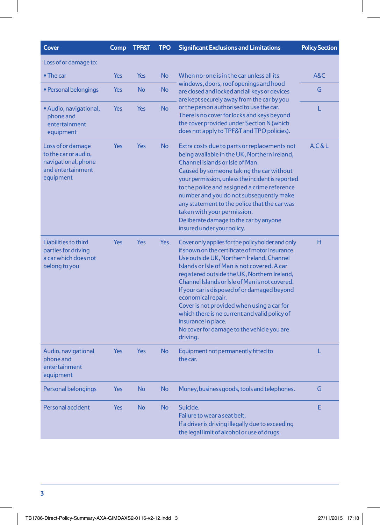| <b>Cover</b>                                                                                       | Comp       | <b>TPF&amp;T</b> | <b>TPO</b> | <b>Significant Exclusions and Limitations</b>                                                                                                                                                                                                                                                                                                                                                                                                                                                                                                             | <b>Policy Section</b> |
|----------------------------------------------------------------------------------------------------|------------|------------------|------------|-----------------------------------------------------------------------------------------------------------------------------------------------------------------------------------------------------------------------------------------------------------------------------------------------------------------------------------------------------------------------------------------------------------------------------------------------------------------------------------------------------------------------------------------------------------|-----------------------|
| Loss of or damage to:                                                                              |            |                  |            |                                                                                                                                                                                                                                                                                                                                                                                                                                                                                                                                                           |                       |
| $\bullet$ The car                                                                                  | Yes        | Yes              | <b>No</b>  | When no-one is in the car unless all its<br>windows, doors, roof openings and hood<br>are closed and locked and all keys or devices<br>are kept securely away from the car by you                                                                                                                                                                                                                                                                                                                                                                         | A&C                   |
| • Personal belongings                                                                              | Yes        | <b>No</b>        | <b>No</b>  |                                                                                                                                                                                                                                                                                                                                                                                                                                                                                                                                                           | G                     |
| • Audio, navigational,<br>phone and<br>entertainment<br>equipment                                  | Yes        | Yes              | <b>No</b>  | or the person authorised to use the car.<br>There is no cover for locks and keys beyond<br>the cover provided under Section N (which<br>does not apply to TPF&T and TPO policies).                                                                                                                                                                                                                                                                                                                                                                        | L                     |
| Loss of or damage<br>to the car or audio,<br>navigational, phone<br>and entertainment<br>equipment | Yes        | Yes              | <b>No</b>  | Extra costs due to parts or replacements not<br>being available in the UK, Northern Ireland,<br>Channel Islands or Isle of Man.<br>Caused by someone taking the car without<br>your permission, unless the incident is reported<br>to the police and assigned a crime reference<br>number and you do not subsequently make<br>any statement to the police that the car was<br>taken with your permission.<br>Deliberate damage to the car by anyone<br>insured under your policy.                                                                         | A, C & L              |
| Liabilities to third<br>parties for driving<br>a car which does not<br>belong to you               | Yes        | <b>Yes</b>       | Yes        | Cover only applies for the policy holder and only<br>if shown on the certificate of motor insurance.<br>Use outside UK, Northern Ireland, Channel<br>Islands or Isle of Man is not covered. A car<br>registered outside the UK, Northern Ireland,<br>Channel Islands or Isle of Man is not covered.<br>If your car is disposed of or damaged beyond<br>economical repair.<br>Cover is not provided when using a car for<br>which there is no current and valid policy of<br>insurance in place.<br>No cover for damage to the vehicle you are<br>driving. | н                     |
| Audio, navigational<br>phone and<br>entertainment<br>equipment                                     | <b>Yes</b> | <b>Yes</b>       | <b>No</b>  | Equipment not permanently fitted to<br>the car.                                                                                                                                                                                                                                                                                                                                                                                                                                                                                                           | L                     |
| Personal belongings                                                                                | Yes        | No               | <b>No</b>  | Money, business goods, tools and telephones.                                                                                                                                                                                                                                                                                                                                                                                                                                                                                                              | G                     |
| Personal accident                                                                                  | Yes        | <b>No</b>        | <b>No</b>  | Suicide.<br>Failure to wear a seat belt.<br>If a driver is driving illegally due to exceeding<br>the legal limit of alcohol or use of drugs.                                                                                                                                                                                                                                                                                                                                                                                                              | E                     |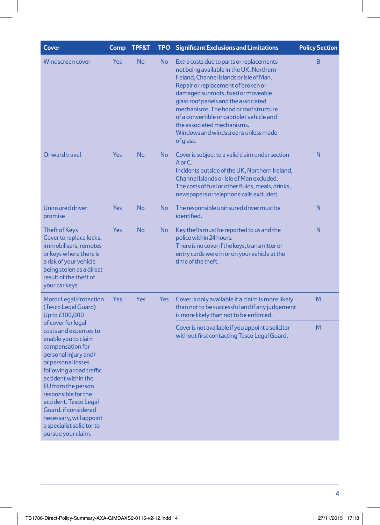| <b>Cover</b>                                                                                                                                                                                                                                                                                                                                                        | Comp       | <b>TPF&amp;T</b> | <b>TPO</b> | <b>Significant Exclusions and Limitations</b>                                                                                                                                                                                                                                                                                                                                                                                 | <b>Policy Section</b> |
|---------------------------------------------------------------------------------------------------------------------------------------------------------------------------------------------------------------------------------------------------------------------------------------------------------------------------------------------------------------------|------------|------------------|------------|-------------------------------------------------------------------------------------------------------------------------------------------------------------------------------------------------------------------------------------------------------------------------------------------------------------------------------------------------------------------------------------------------------------------------------|-----------------------|
| Windscreen cover                                                                                                                                                                                                                                                                                                                                                    | <b>Yes</b> | <b>No</b>        | <b>No</b>  | Extra costs due to parts or replacements<br>not being available in the UK, Northern<br>Ireland, Channel Islands or Isle of Man.<br>Repair or replacement of broken or<br>damaged sunroofs, fixed or moveable<br>glass roof panels and the associated<br>mechanisms. The hood or roof structure<br>of a convertible or cabriolet vehicle and<br>the associated mechanisms.<br>Windows and windscreens unless made<br>of glass. | B                     |
| Onward travel                                                                                                                                                                                                                                                                                                                                                       | Yes        | <b>No</b>        | No         | Cover is subject to a valid claim under section<br>AorC.<br>Incidents outside of the UK, Northern Ireland,<br>Channel Islands or Isle of Man excluded.<br>The costs of fuel or other fluids, meals, drinks,<br>newspapers or telephone calls excluded.                                                                                                                                                                        | N                     |
| <b>Uninsured driver</b><br>promise                                                                                                                                                                                                                                                                                                                                  | Yes        | <b>No</b>        | <b>No</b>  | The responsible uninsured driver must be<br>identified.                                                                                                                                                                                                                                                                                                                                                                       | N                     |
| <b>Theft of Keys</b><br>Cover to replace locks,<br>immobilisers, remotes<br>or keys where there is<br>a risk of your vehicle<br>being stolen as a direct<br>result of the theft of<br>your car keys                                                                                                                                                                 | Yes        | <b>No</b>        | No         | Key thefts must be reported to us and the<br>police within 24 hours.<br>There is no cover if the keys, transmitter or<br>entry cards were in or on your vehicle at the<br>time of the theft.                                                                                                                                                                                                                                  | N                     |
| <b>Motor Legal Protection</b><br>(Tesco Legal Guard)<br>Up to £100,000                                                                                                                                                                                                                                                                                              | Yes        | <b>Yes</b>       | <b>Yes</b> | Cover is only available if a claim is more likely<br>than not to be successful and if any judgement<br>is more likely than not to be enforced.                                                                                                                                                                                                                                                                                | M                     |
| of cover for legal<br>costs and expenses to<br>enable you to claim<br>compensation for<br>personal injury and/<br>or personal losses<br>following a road traffic<br>accident within the<br>EU from the person<br>responsible for the<br>accident. Tesco Legal<br>Guard, if considered<br>necessary, will appoint<br>a specialist solicitor to<br>pursue your claim. |            |                  |            | Cover is not available if you appoint a solicitor<br>without first contacting Tesco Legal Guard.                                                                                                                                                                                                                                                                                                                              | M                     |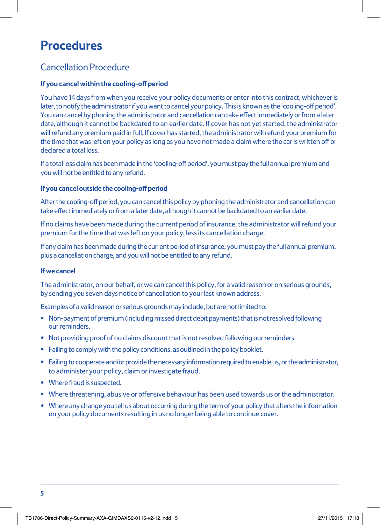# **Procedures**

## Cancellation Procedure

### **If you cancel within the cooling-off period**

You have 14 days from when you receive your policy documents or enter into this contract, whichever is later, to notify the administrator if you want to cancel your policy. This is known as the 'cooling-off period'. You can cancel by phoning the administrator and cancellation can take effect immediately or from a later date, although it cannot be backdated to an earlier date. If cover has not yet started, the administrator will refund any premium paid in full. If cover has started, the administrator will refund your premium for the time that was left on your policy as long as you have not made a claim where the car is written off or declared a total loss.

If a total loss claim has been made in the 'cooling-off period', you must pay the full annual premium and you will not be entitled to any refund.

#### **If you cancel outside the cooling-off period**

After the cooling-off period, you can cancel this policy by phoning the administrator and cancellation can take effect immediately or from a later date, although it cannot be backdated to an earlier date.

If no claims have been made during the current period of insurance, the administrator will refund your premium for the time that was left on your policy, less its cancellation charge.

If any claim has been made during the current period of insurance, you must pay the full annual premium, plus a cancellation charge, and you will not be entitled to any refund.

#### **If we cancel**

The administrator, on our behalf, or we can cancel this policy, for a valid reason or on serious grounds, by sending you seven days notice of cancellation to your last known address.

Examples of a valid reason or serious grounds may include, but are not limited to:

- Non-payment of premium (including missed direct debit payments) that is not resolved following our reminders.
- Not providing proof of no claims discount that is not resolved following our reminders.
- Failing to comply with the policy conditions, as outlined in the policy booklet.
- Failing to cooperate and/or provide the necessary information required to enable us, or the administrator, to administer your policy, claim or investigate fraud.
- Where fraud is suspected.
- Where threatening, abusive or offensive behaviour has been used towards us or the administrator.
- Where any change you tell us about occurring during the term of your policy that alters the information on your policy documents resulting in us no longer being able to continue cover.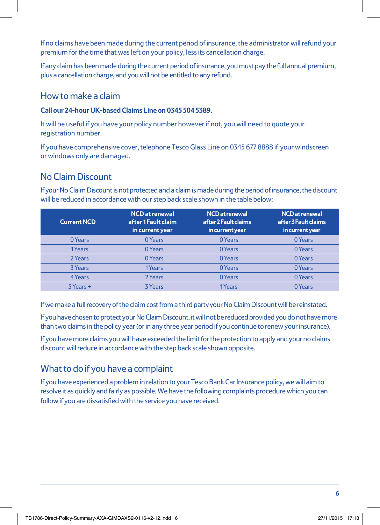If no claims have been made during the current period of insurance, the administrator will refund your premium for the time that was left on your policy, less its cancellation charge.

If any claim has been made during the current period of insurance, you must pay the full annual premium, plus a cancellation charge, and you will not be entitled to any refund.

## How to make a claim

### **Call our 24-hour UK-based Claims Line on 0345 504 5389.**

It will be useful if you have your policy number however if not, you will need to quote your registration number.

If you have comprehensive cover, telephone Tesco Glass Line on 0345 677 8888 if your windscreen or windows only are damaged.

## No Claim Discount

If your No Claim Discount is not protected and a claim is made during the period of insurance, the discount will be reduced in accordance with our step back scale shown in the table below:

| <b>Current NCD</b> | <b>NCD</b> at renewal<br>after 1 Fault claim<br>in current year | <b>NCD</b> at renewal<br>after 2 Fault claims<br>in current year | <b>NCD</b> at renewal<br>after 3 Fault claims<br>in current year |
|--------------------|-----------------------------------------------------------------|------------------------------------------------------------------|------------------------------------------------------------------|
| 0 Years            | 0 Years                                                         | 0 Years                                                          | 0 Years                                                          |
| 1Years             | 0 Years                                                         | 0 Years                                                          | 0 Years                                                          |
| 2 Years            | 0 Years                                                         | 0 Years                                                          | 0 Years                                                          |
| <b>3 Years</b>     | 1Years                                                          | 0 Years                                                          | 0 Years                                                          |
| 4 Years            | 2 Years                                                         | 0 Years                                                          | 0 Years                                                          |
| 5 Years +          | <b>3 Years</b>                                                  | 1Years                                                           | 0 Years                                                          |

If we make a full recovery of the claim cost from a third party your No Claim Discount will be reinstated.

If you have chosen to protect your No Claim Discount, it will not be reduced provided you do not have more than two claims in the policy year (or in any three year period if you continue to renew your insurance).

If you have more claims you will have exceeded the limit for the protection to apply and your no claims discount will reduce in accordance with the step back scale shown opposite.

## What to do if you have a complaint

If you have experienced a problem in relation to your Tesco Bank Car Insurance policy, we will aim to resolve it as quickly and fairly as possible. We have the following complaints procedure which you can follow if you are dissatisfied with the service you have received.